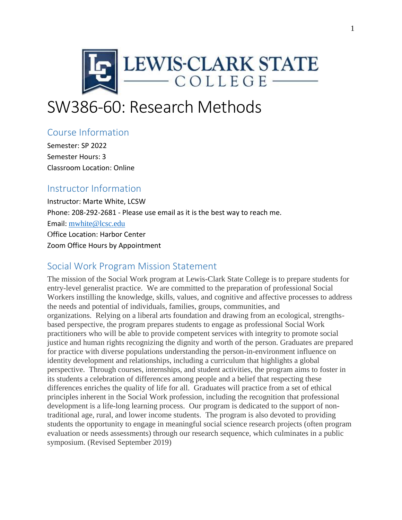

# SW386-60: Research Methods

## Course Information

Semester: SP 2022 Semester Hours: 3 Classroom Location: Online

## Instructor Information

Instructor: Marte White, LCSW Phone: 208-292-2681 - Please use email as it is the best way to reach me. Email: [mwhite@lcsc.edu](mailto:mwhite@lcsc.edu) Office Location: Harbor Center Zoom Office Hours by Appointment

## Social Work Program Mission Statement

The mission of the Social Work program at Lewis-Clark State College is to prepare students for entry-level generalist practice. We are committed to the preparation of professional Social Workers instilling the knowledge, skills, values, and cognitive and affective processes to address the needs and potential of individuals, families, groups, communities, and organizations. Relying on a liberal arts foundation and drawing from an ecological, strengthsbased perspective, the program prepares students to engage as professional Social Work practitioners who will be able to provide competent services with integrity to promote social justice and human rights recognizing the dignity and worth of the person. Graduates are prepared for practice with diverse populations understanding the person-in-environment influence on identity development and relationships, including a curriculum that highlights a global perspective. Through courses, internships, and student activities, the program aims to foster in its students a celebration of differences among people and a belief that respecting these differences enriches the quality of life for all. Graduates will practice from a set of ethical principles inherent in the Social Work profession, including the recognition that professional development is a life-long learning process. Our program is dedicated to the support of nontraditional age, rural, and lower income students. The program is also devoted to providing students the opportunity to engage in meaningful social science research projects (often program evaluation or needs assessments) through our research sequence, which culminates in a public symposium. (Revised September 2019)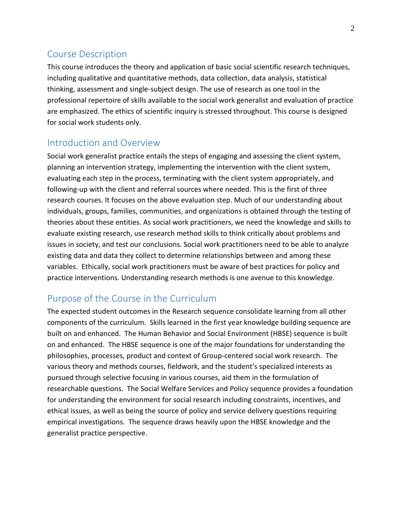## Course Description

This course introduces the theory and application of basic social scientific research techniques, including qualitative and quantitative methods, data collection, data analysis, statistical thinking, assessment and single-subject design. The use of research as one tool in the professional repertoire of skills available to the social work generalist and evaluation of practice are emphasized. The ethics of scientific inquiry is stressed throughout. This course is designed for social work students only.

## Introduction and Overview

Social work generalist practice entails the steps of engaging and assessing the client system, planning an intervention strategy, implementing the intervention with the client system, evaluating each step in the process, terminating with the client system appropriately, and following-up with the client and referral sources where needed. This is the first of three research courses. It focuses on the above evaluation step. Much of our understanding about individuals, groups, families, communities, and organizations is obtained through the testing of theories about these entities. As social work practitioners, we need the knowledge and skills to evaluate existing research, use research method skills to think critically about problems and issues in society, and test our conclusions. Social work practitioners need to be able to analyze existing data and data they collect to determine relationships between and among these variables. Ethically, social work practitioners must be aware of best practices for policy and practice interventions. Understanding research methods is one avenue to this knowledge.

## Purpose of the Course in the Curriculum

The expected student outcomes in the Research sequence consolidate learning from all other components of the curriculum. Skills learned in the first year knowledge building sequence are built on and enhanced. The Human Behavior and Social Environment (HBSE) sequence is built on and enhanced. The HBSE sequence is one of the major foundations for understanding the philosophies, processes, product and context of Group-centered social work research. The various theory and methods courses, fieldwork, and the student's specialized interests as pursued through selective focusing in various courses, aid them in the formulation of researchable questions. The Social Welfare Services and Policy sequence provides a foundation for understanding the environment for social research including constraints, incentives, and ethical issues, as well as being the source of policy and service delivery questions requiring empirical investigations. The sequence draws heavily upon the HBSE knowledge and the generalist practice perspective.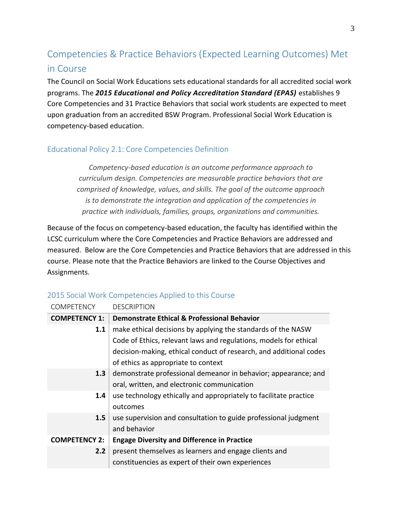## Competencies & Practice Behaviors (Expected Learning Outcomes) Met in Course

The Council on Social Work Educations sets educational standards for all accredited social work programs. The *2015 Educational and Policy Accreditation Standard (EPAS)* establishes 9 Core Competencies and 31 Practice Behaviors that social work students are expected to meet upon graduation from an accredited BSW Program. Professional Social Work Education is competency-based education.

### Educational Policy 2.1: Core Competencies Definition

*Competency-based education is an outcome performance approach to curriculum design. Competencies are measurable practice behaviors that are comprised of knowledge, values, and skills. The goal of the outcome approach is to demonstrate the integration and application of the competencies in practice with individuals, families, groups, organizations and communities.*

Because of the focus on competency-based education, the faculty has identified within the LCSC curriculum where the Core Competencies and Practice Behaviors are addressed and measured. Below are the Core Competencies and Practice Behaviors that are addressed in this course. Please note that the Practice Behaviors are linked to the Course Objectives and Assignments.

| <b>COMPETENCY</b>    | <b>DESCRIPTION</b>                                                 |  |  |
|----------------------|--------------------------------------------------------------------|--|--|
| <b>COMPETENCY 1:</b> | <b>Demonstrate Ethical &amp; Professional Behavior</b>             |  |  |
| 1.1                  | make ethical decisions by applying the standards of the NASW       |  |  |
|                      | Code of Ethics, relevant laws and regulations, models for ethical  |  |  |
|                      | decision-making, ethical conduct of research, and additional codes |  |  |
|                      | of ethics as appropriate to context                                |  |  |
| 1.3                  | demonstrate professional demeanor in behavior; appearance; and     |  |  |
|                      | oral, written, and electronic communication                        |  |  |
| $1.4^{\circ}$        | use technology ethically and appropriately to facilitate practice  |  |  |
|                      | outcomes                                                           |  |  |
| 1.5                  | use supervision and consultation to guide professional judgment    |  |  |
|                      | and behavior                                                       |  |  |
| <b>COMPETENCY 2:</b> | <b>Engage Diversity and Difference in Practice</b>                 |  |  |
| 2.2                  | present themselves as learners and engage clients and              |  |  |
|                      | constituencies as expert of their own experiences                  |  |  |

### 2015 Social Work Competencies Applied to this Course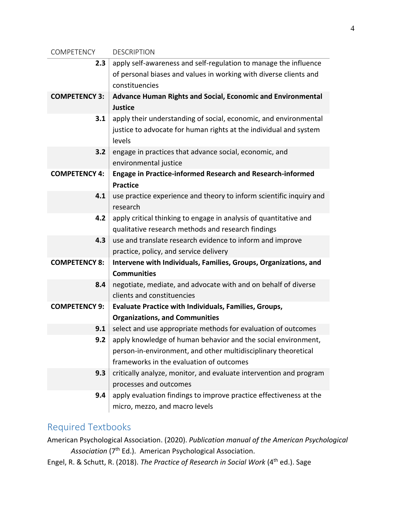| COMPETENCY                                         | <b>DESCRIPTION</b>                                                  |  |
|----------------------------------------------------|---------------------------------------------------------------------|--|
| 2.3                                                | apply self-awareness and self-regulation to manage the influence    |  |
|                                                    | of personal biases and values in working with diverse clients and   |  |
|                                                    | constituencies                                                      |  |
| <b>COMPETENCY 3:</b>                               | Advance Human Rights and Social, Economic and Environmental         |  |
|                                                    | <b>Justice</b>                                                      |  |
| 3.1                                                | apply their understanding of social, economic, and environmental    |  |
|                                                    | justice to advocate for human rights at the individual and system   |  |
|                                                    | levels                                                              |  |
| 3.2                                                | engage in practices that advance social, economic, and              |  |
|                                                    | environmental justice                                               |  |
| <b>COMPETENCY 4:</b>                               | <b>Engage in Practice-informed Research and Research-informed</b>   |  |
|                                                    | <b>Practice</b>                                                     |  |
| 4.1                                                | use practice experience and theory to inform scientific inquiry and |  |
|                                                    | research                                                            |  |
| 4.2                                                | apply critical thinking to engage in analysis of quantitative and   |  |
| qualitative research methods and research findings |                                                                     |  |
| 4.3                                                | use and translate research evidence to inform and improve           |  |
| practice, policy, and service delivery             |                                                                     |  |
| <b>COMPETENCY 8:</b>                               | Intervene with Individuals, Families, Groups, Organizations, and    |  |
|                                                    | <b>Communities</b>                                                  |  |
| 8.4                                                | negotiate, mediate, and advocate with and on behalf of diverse      |  |
|                                                    | clients and constituencies                                          |  |
| <b>COMPETENCY 9:</b>                               | <b>Evaluate Practice with Individuals, Families, Groups,</b>        |  |
|                                                    | <b>Organizations, and Communities</b>                               |  |
| 9.1                                                | select and use appropriate methods for evaluation of outcomes       |  |
| 9.2                                                | apply knowledge of human behavior and the social environment,       |  |
|                                                    | person-in-environment, and other multidisciplinary theoretical      |  |
|                                                    | frameworks in the evaluation of outcomes                            |  |
| 9.3                                                | critically analyze, monitor, and evaluate intervention and program  |  |
|                                                    | processes and outcomes                                              |  |
| 9.4                                                | apply evaluation findings to improve practice effectiveness at the  |  |
|                                                    | micro, mezzo, and macro levels                                      |  |

## Required Textbooks

American Psychological Association. (2020). *Publication manual of the American Psychological*  Association (7<sup>th</sup> Ed.). American Psychological Association.

Engel, R. & Schutt, R. (2018). *The Practice of Research in Social Work* (4th ed.). Sage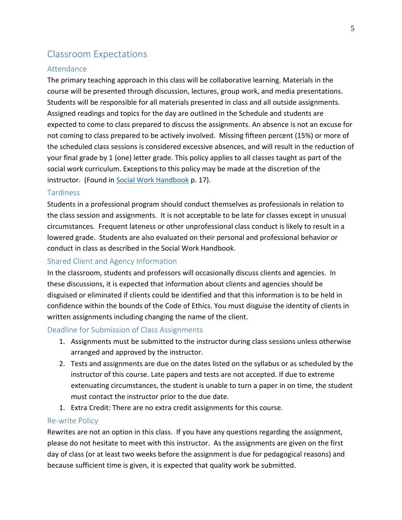## Classroom Expectations

#### Attendance

The primary teaching approach in this class will be collaborative learning. Materials in the course will be presented through discussion, lectures, group work, and media presentations. Students will be responsible for all materials presented in class and all outside assignments. Assigned readings and topics for the day are outlined in the Schedule and students are expected to come to class prepared to discuss the assignments. An absence is not an excuse for not coming to class prepared to be actively involved. Missing fifteen percent (15%) or more of the scheduled class sessions is considered excessive absences, and will result in the reduction of your final grade by 1 (one) letter grade. This policy applies to all classes taught as part of the social work curriculum. Exceptions to this policy may be made at the discretion of the instructor. (Found in [Social Work Handbook](http://www.lcsc.edu/media/5056910/SOCIAL-WORK-STUDENT-HANDBOOK-6-5-2017.pdf) p. 17).

#### **Tardiness**

Students in a professional program should conduct themselves as professionals in relation to the class session and assignments. It is not acceptable to be late for classes except in unusual circumstances. Frequent lateness or other unprofessional class conduct is likely to result in a lowered grade. Students are also evaluated on their personal and professional behavior or conduct in class as described in the Social Work Handbook.

#### Shared Client and Agency Information

In the classroom, students and professors will occasionally discuss clients and agencies. In these discussions, it is expected that information about clients and agencies should be disguised or eliminated if clients could be identified and that this information is to be held in confidence within the bounds of the Code of Ethics. You must disguise the identity of clients in written assignments including changing the name of the client.

#### Deadline for Submission of Class Assignments

- 1. Assignments must be submitted to the instructor during class sessions unless otherwise arranged and approved by the instructor.
- 2. Tests and assignments are due on the dates listed on the syllabus or as scheduled by the instructor of this course. Late papers and tests are not accepted. If due to extreme extenuating circumstances, the student is unable to turn a paper in on time, the student must contact the instructor prior to the due date.
- 1. Extra Credit: There are no extra credit assignments for this course.

#### Re-write Policy

Rewrites are not an option in this class. If you have any questions regarding the assignment, please do not hesitate to meet with this instructor. As the assignments are given on the first day of class (or at least two weeks before the assignment is due for pedagogical reasons) and because sufficient time is given, it is expected that quality work be submitted.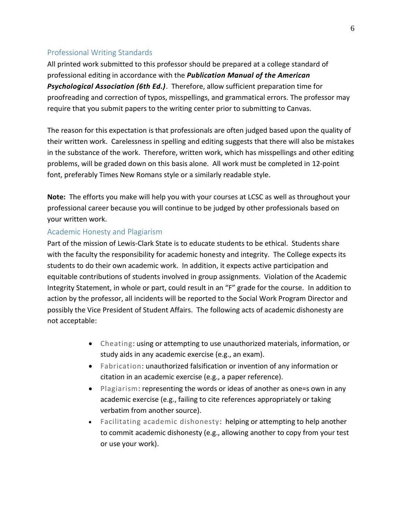#### Professional Writing Standards

All printed work submitted to this professor should be prepared at a college standard of professional editing in accordance with the *Publication Manual of the American Psychological Association (6th Ed.)*. Therefore, allow sufficient preparation time for proofreading and correction of typos, misspellings, and grammatical errors. The professor may require that you submit papers to the writing center prior to submitting to Canvas.

The reason for this expectation is that professionals are often judged based upon the quality of their written work. Carelessness in spelling and editing suggests that there will also be mistakes in the substance of the work. Therefore, written work, which has misspellings and other editing problems, will be graded down on this basis alone. All work must be completed in 12-point font, preferably Times New Romans style or a similarly readable style.

**Note:** The efforts you make will help you with your courses at LCSC as well as throughout your professional career because you will continue to be judged by other professionals based on your written work.

#### Academic Honesty and Plagiarism

Part of the mission of Lewis-Clark State is to educate students to be ethical. Students share with the faculty the responsibility for academic honesty and integrity. The College expects its students to do their own academic work. In addition, it expects active participation and equitable contributions of students involved in group assignments. Violation of the Academic Integrity Statement, in whole or part, could result in an "F" grade for the course. In addition to action by the professor, all incidents will be reported to the Social Work Program Director and possibly the Vice President of Student Affairs. The following acts of academic dishonesty are not acceptable:

- Cheating: using or attempting to use unauthorized materials, information, or study aids in any academic exercise (e.g., an exam).
- Fabrication: unauthorized falsification or invention of any information or citation in an academic exercise (e.g., a paper reference).
- Plagiarism: representing the words or ideas of another as one=s own in any academic exercise (e.g., failing to cite references appropriately or taking verbatim from another source).
- Facilitating academic dishonesty: helping or attempting to help another to commit academic dishonesty (e.g., allowing another to copy from your test or use your work).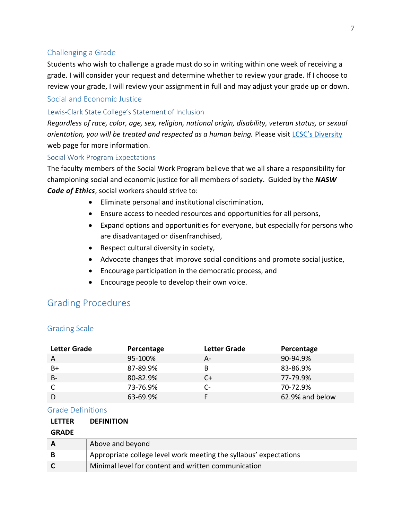#### Challenging a Grade

Students who wish to challenge a grade must do so in writing within one week of receiving a grade. I will consider your request and determine whether to review your grade. If I choose to review your grade, I will review your assignment in full and may adjust your grade up or down.

#### Social and Economic Justice

#### Lewis-Clark State College's Statement of Inclusion

*Regardless of race, color, age, sex, religion, national origin, disability, veteran status, or sexual orientation, you will be treated and respected as a human being.* Please visit [LCSC's Diversity](http://www.lcsc.edu/diversity/) web page for more information.

#### Social Work Program Expectations

The faculty members of the Social Work Program believe that we all share a responsibility for championing social and economic justice for all members of society. Guided by the *NASW Code of Ethics*, social workers should strive to:

- Eliminate personal and institutional discrimination,
- Ensure access to needed resources and opportunities for all persons,
- Expand options and opportunities for everyone, but especially for persons who are disadvantaged or disenfranchised,
- Respect cultural diversity in society,
- Advocate changes that improve social conditions and promote social justice,
- Encourage participation in the democratic process, and
- Encourage people to develop their own voice.

## Grading Procedures

#### Grading Scale

| <b>Letter Grade</b> | Percentage | <b>Letter Grade</b> | Percentage      |
|---------------------|------------|---------------------|-----------------|
| A                   | 95-100%    | А-                  | 90-94.9%        |
| B+                  | 87-89.9%   | B                   | 83-86.9%        |
| $B -$               | 80-82.9%   |                     | 77-79.9%        |
|                     | 73-76.9%   | C-                  | 70-72.9%        |
|                     | 63-69.9%   |                     | 62.9% and below |

#### Grade Definitions

| <b>LETTER</b> | <b>DEFINITION</b>                                                 |
|---------------|-------------------------------------------------------------------|
| <b>GRADE</b>  |                                                                   |
|               | Above and beyond                                                  |
| B             | Appropriate college level work meeting the syllabus' expectations |
|               | Minimal level for content and written communication               |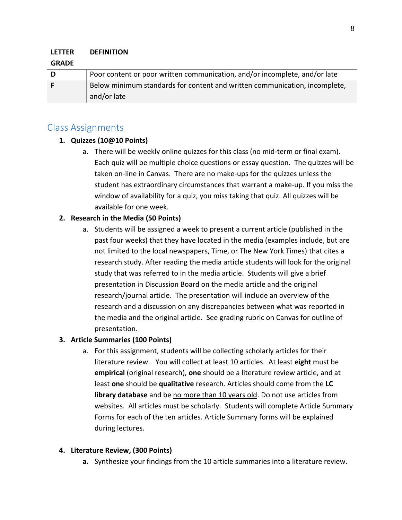#### **LETTER DEFINITION**

#### **GRADE**

| D | Poor content or poor written communication, and/or incomplete, and/or late |
|---|----------------------------------------------------------------------------|
|   | Below minimum standards for content and written communication, incomplete, |
|   | and/or late                                                                |

### Class Assignments

#### **1. Quizzes (10@10 Points)**

a. There will be weekly online quizzes for this class (no mid-term or final exam). Each quiz will be multiple choice questions or essay question. The quizzes will be taken on-line in Canvas. There are no make-ups for the quizzes unless the student has extraordinary circumstances that warrant a make-up. If you miss the window of availability for a quiz, you miss taking that quiz. All quizzes will be available for one week.

#### **2. Research in the Media (50 Points)**

a. Students will be assigned a week to present a current article (published in the past four weeks) that they have located in the media (examples include, but are not limited to the local newspapers, Time, or The New York Times) that cites a research study. After reading the media article students will look for the original study that was referred to in the media article. Students will give a brief presentation in Discussion Board on the media article and the original research/journal article. The presentation will include an overview of the research and a discussion on any discrepancies between what was reported in the media and the original article. See grading rubric on Canvas for outline of presentation.

#### **3. Article Summaries (100 Points)**

a. For this assignment, students will be collecting scholarly articles for their literature review. You will collect at least 10 articles. At least **eight** must be **empirical** (original research), **one** should be a literature review article, and at least **one** should be **qualitative** research. Articles should come from the **LC library database** and be no more than 10 years old. Do not use articles from websites. All articles must be scholarly. Students will complete Article Summary Forms for each of the ten articles. Article Summary forms will be explained during lectures.

#### **4. Literature Review, (300 Points)**

**a.** Synthesize your findings from the 10 article summaries into a literature review.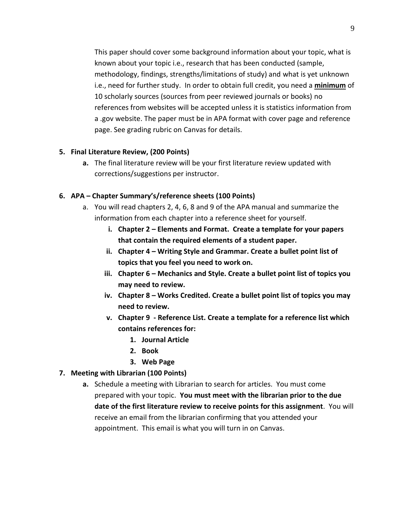This paper should cover some background information about your topic, what is known about your topic i.e., research that has been conducted (sample, methodology, findings, strengths/limitations of study) and what is yet unknown i.e., need for further study. In order to obtain full credit, you need a **minimum** of 10 scholarly sources (sources from peer reviewed journals or books) no references from websites will be accepted unless it is statistics information from a .gov website. The paper must be in APA format with cover page and reference page. See grading rubric on Canvas for details.

#### **5. Final Literature Review, (200 Points)**

**a.** The final literature review will be your first literature review updated with corrections/suggestions per instructor.

#### **6. APA – Chapter Summary's/reference sheets (100 Points)**

- a. You will read chapters 2, 4, 6, 8 and 9 of the APA manual and summarize the information from each chapter into a reference sheet for yourself.
	- **i. Chapter 2 – Elements and Format. Create a template for your papers that contain the required elements of a student paper.**
	- **ii. Chapter 4 – Writing Style and Grammar. Create a bullet point list of topics that you feel you need to work on.**
	- **iii. Chapter 6 – Mechanics and Style. Create a bullet point list of topics you may need to review.**
	- **iv. Chapter 8 – Works Credited. Create a bullet point list of topics you may need to review.**
	- **v. Chapter 9 - Reference List. Create a template for a reference list which contains references for:** 
		- **1. Journal Article**
		- **2. Book**
		- **3. Web Page**

#### **7. Meeting with Librarian (100 Points)**

**a.** Schedule a meeting with Librarian to search for articles. You must come prepared with your topic. **You must meet with the librarian prior to the due date of the first literature review to receive points for this assignment**. You will receive an email from the librarian confirming that you attended your appointment. This email is what you will turn in on Canvas.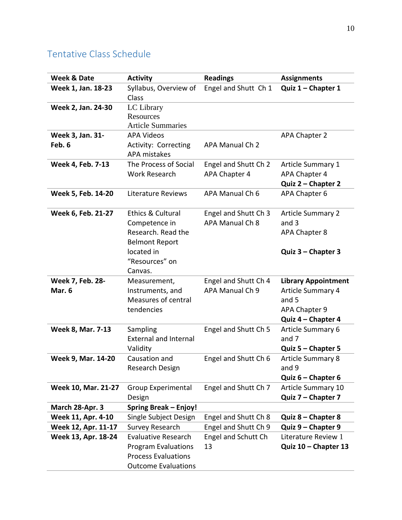## Tentative Class Schedule

| <b>Week &amp; Date</b>     | <b>Activity</b>                                                                                                      | <b>Readings</b>                         | <b>Assignments</b>                                                                              |
|----------------------------|----------------------------------------------------------------------------------------------------------------------|-----------------------------------------|-------------------------------------------------------------------------------------------------|
| Week 1, Jan. 18-23         | Syllabus, Overview of<br>Class                                                                                       | Engel and Shutt Ch 1                    | Quiz 1 - Chapter 1                                                                              |
| Week 2, Jan. 24-30         | LC Library<br>Resources<br><b>Article Summaries</b>                                                                  |                                         |                                                                                                 |
| Week 3, Jan. 31-           | <b>APA Videos</b>                                                                                                    |                                         | APA Chapter 2                                                                                   |
| Feb. 6                     | Activity: Correcting<br><b>APA mistakes</b>                                                                          | APA Manual Ch 2                         |                                                                                                 |
| Week 4, Feb. 7-13          | The Process of Social<br><b>Work Research</b>                                                                        | Engel and Shutt Ch 2<br>APA Chapter 4   | <b>Article Summary 1</b><br>APA Chapter 4<br>Quiz 2 - Chapter 2                                 |
| Week 5, Feb. 14-20         | Literature Reviews                                                                                                   | APA Manual Ch 6                         | APA Chapter 6                                                                                   |
| Week 6, Feb. 21-27         | Ethics & Cultural<br>Competence in<br>Research. Read the<br><b>Belmont Report</b>                                    | Engel and Shutt Ch 3<br>APA Manual Ch 8 | <b>Article Summary 2</b><br>and $3$<br>APA Chapter 8                                            |
|                            | located in<br>"Resources" on<br>Canvas.                                                                              |                                         | Quiz 3 - Chapter 3                                                                              |
| Week 7, Feb. 28-<br>Mar. 6 | Measurement,<br>Instruments, and<br>Measures of central<br>tendencies                                                | Engel and Shutt Ch 4<br>APA Manual Ch 9 | <b>Library Appointment</b><br>Article Summary 4<br>and 5<br>APA Chapter 9<br>Quiz 4 - Chapter 4 |
| Week 8, Mar. 7-13          | Sampling<br><b>External and Internal</b><br>Validity                                                                 | Engel and Shutt Ch 5                    | Article Summary 6<br>and 7<br>Quiz 5 - Chapter 5                                                |
| Week 9, Mar. 14-20         | Causation and<br>Research Design                                                                                     | Engel and Shutt Ch 6                    | <b>Article Summary 8</b><br>and 9<br>Quiz $6$ – Chapter 6                                       |
| Week 10, Mar. 21-27        | <b>Group Experimental</b><br>Design                                                                                  | Engel and Shutt Ch 7                    | <b>Article Summary 10</b><br>Quiz 7 - Chapter 7                                                 |
| March 28-Apr. 3            | <b>Spring Break - Enjoy!</b>                                                                                         |                                         |                                                                                                 |
| Week 11, Apr. 4-10         | Single Subject Design                                                                                                | Engel and Shutt Ch 8                    | Quiz 8 - Chapter 8                                                                              |
| Week 12, Apr. 11-17        | Survey Research                                                                                                      | Engel and Shutt Ch 9                    | Quiz 9 - Chapter 9                                                                              |
| Week 13, Apr. 18-24        | <b>Evaluative Research</b><br><b>Program Evaluations</b><br><b>Process Evaluations</b><br><b>Outcome Evaluations</b> | Engel and Schutt Ch<br>13               | Literature Review 1<br>Quiz 10 - Chapter 13                                                     |